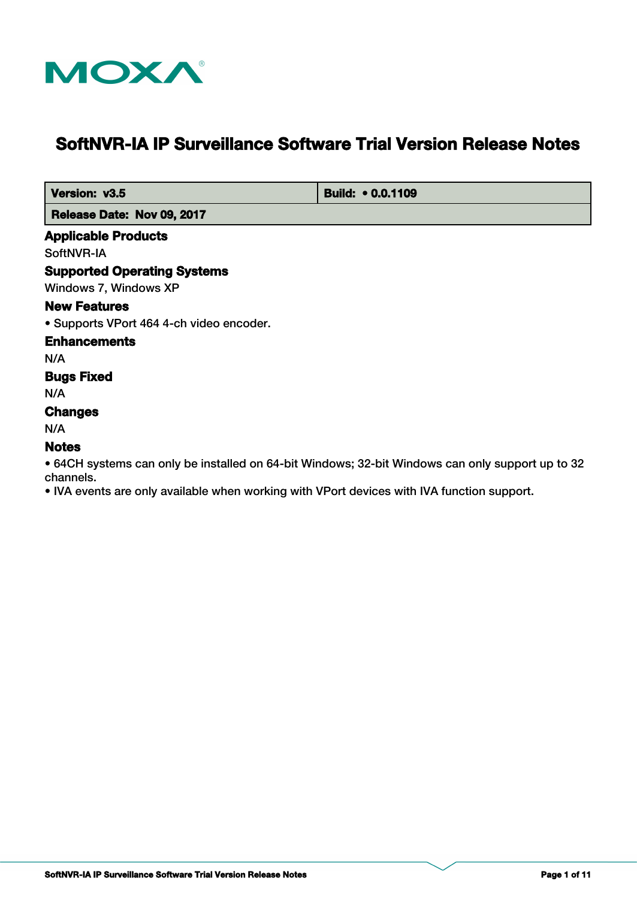

# **SoftNVR-IA IP Surveillance Software Trial Version Release Notes**

**Version: v3.5 Build: • 0.0.1109** 

 **Release Date: Nov 09, 2017**

#### **Applicable Products**

SoftNVR-IA

#### **Supported Operating Systems**

Windows 7, Windows XP

#### **New Features**

• Supports VPort 464 4-ch video encoder.

#### **Enhancements**

N/A

# **Bugs Fixed**

N/A

# **Changes**

N/A

#### **Notes**

• 64CH systems can only be installed on 64-bit Windows; 32-bit Windows can only support up to 32 channels.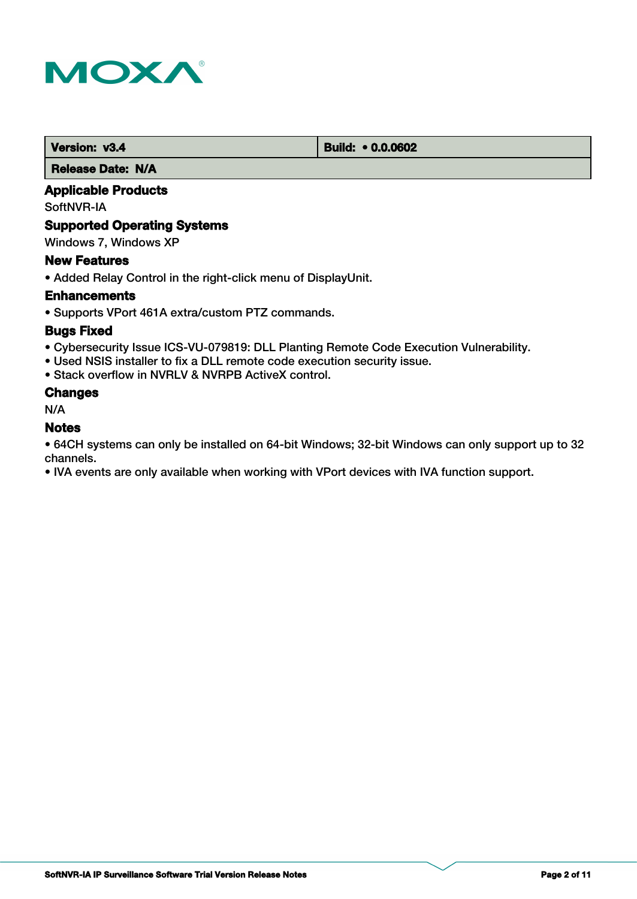

 **Version: v3.4 Build: • 0.0.0602** 

 **Release Date: N/A**

# **Applicable Products**

SoftNVR-IA

# **Supported Operating Systems**

Windows 7, Windows XP

#### **New Features**

• Added Relay Control in the right-click menu of DisplayUnit.

#### **Enhancements**

• Supports VPort 461A extra/custom PTZ commands.

#### **Bugs Fixed**

- Cybersecurity Issue ICS-VU-079819: DLL Planting Remote Code Execution Vulnerability.
- Used NSIS installer to fix a DLL remote code execution security issue.
- Stack overflow in NVRLV & NVRPB ActiveX control.

#### **Changes**

N/A

#### **Notes**

• 64CH systems can only be installed on 64-bit Windows; 32-bit Windows can only support up to 32 channels.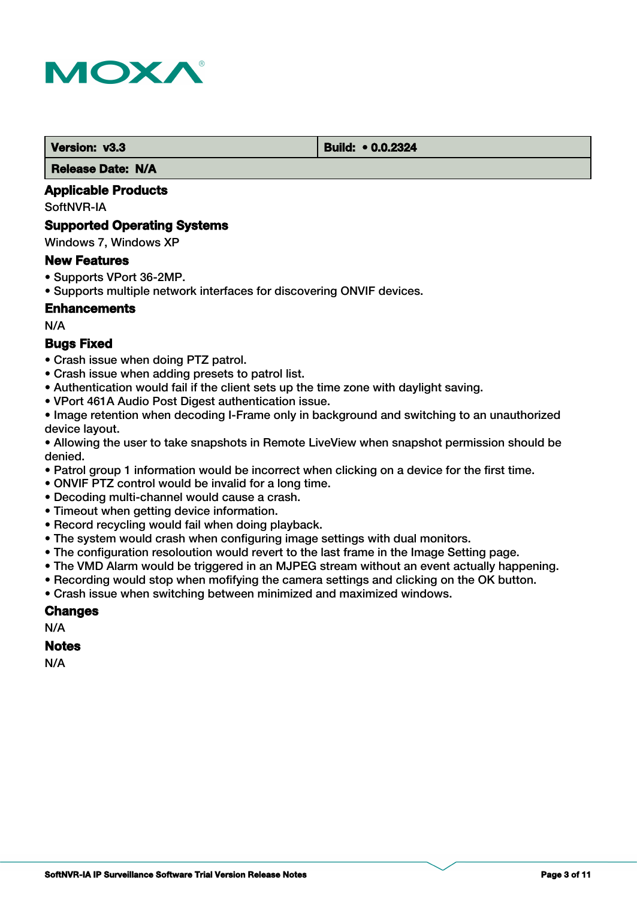

**Version: v3.3 Build: • 0.0.2324** 

 **Release Date: N/A**

# **Applicable Products**

SoftNVR-IA

#### **Supported Operating Systems**

Windows 7, Windows XP

#### **New Features**

- Supports VPort 36-2MP.
- Supports multiple network interfaces for discovering ONVIF devices.

# **Enhancements**

N/A

# **Bugs Fixed**

- Crash issue when doing PTZ patrol.
- Crash issue when adding presets to patrol list.
- Authentication would fail if the client sets up the time zone with daylight saving.
- VPort 461A Audio Post Digest authentication issue.

• Image retention when decoding I-Frame only in background and switching to an unauthorized device layout.

• Allowing the user to take snapshots in Remote LiveView when snapshot permission should be denied.

- Patrol group 1 information would be incorrect when clicking on a device for the first time.
- ONVIF PTZ control would be invalid for a long time.
- Decoding multi-channel would cause a crash.
- Timeout when getting device information.
- Record recycling would fail when doing playback.
- The system would crash when configuring image settings with dual monitors.
- The configuration resoloution would revert to the last frame in the Image Setting page.
- The VMD Alarm would be triggered in an MJPEG stream without an event actually happening.
- Recording would stop when mofifying the camera settings and clicking on the OK button.
- Crash issue when switching between minimized and maximized windows.

# **Changes**

N/A

#### **Notes**

N/A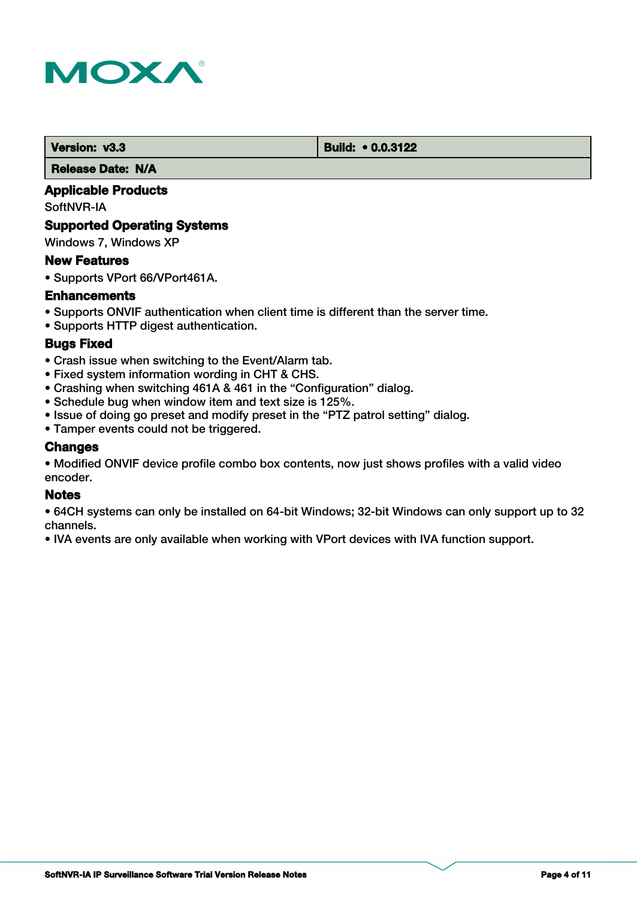

*Version: v3.3* Build: • 0.0.3122

 **Release Date: N/A**

# **Applicable Products**

SoftNVR-IA

#### **Supported Operating Systems**

Windows 7, Windows XP

#### **New Features**

• Supports VPort 66/VPort461A.

#### **Enhancements**

- Supports ONVIF authentication when client time is different than the server time.
- Supports HTTP digest authentication.

#### **Bugs Fixed**

- Crash issue when switching to the Event/Alarm tab.
- Fixed system information wording in CHT & CHS.
- Crashing when switching 461A & 461 in the "Configuration" dialog.
- Schedule bug when window item and text size is 125%.
- Issue of doing go preset and modify preset in the "PTZ patrol setting" dialog.
- Tamper events could not be triggered.

#### **Changes**

• Modified ONVIF device profile combo box contents, now just shows profiles with a valid video encoder.

#### **Notes**

• 64CH systems can only be installed on 64-bit Windows; 32-bit Windows can only support up to 32 channels.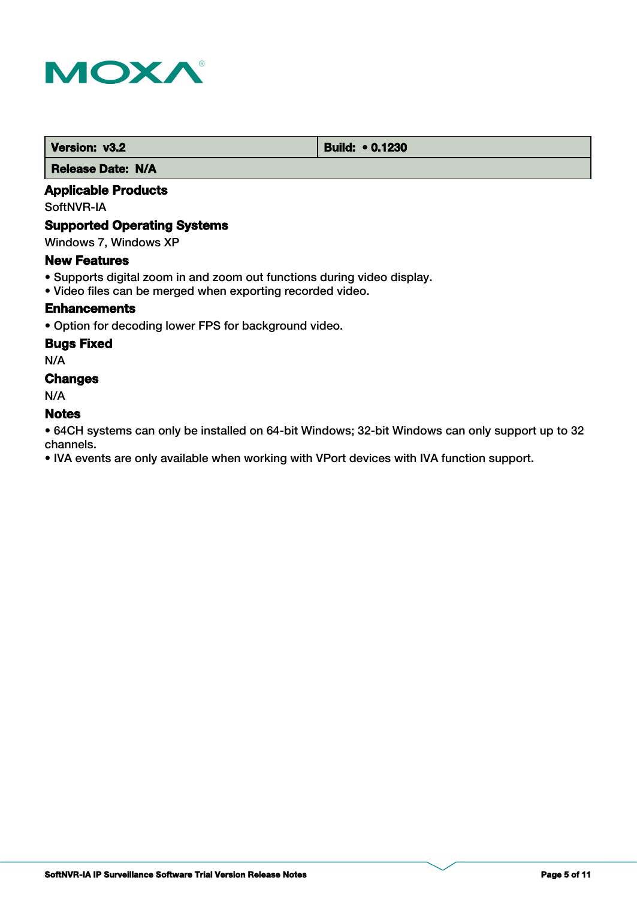

 **Version: v3.2 Build: • 0.1230** 

 **Release Date: N/A**

# **Applicable Products**

SoftNVR-IA

# **Supported Operating Systems**

Windows 7, Windows XP

#### **New Features**

- Supports digital zoom in and zoom out functions during video display.
- Video files can be merged when exporting recorded video.

# **Enhancements**

• Option for decoding lower FPS for background video.

# **Bugs Fixed**

N/A

# **Changes**

N/A

# **Notes**

• 64CH systems can only be installed on 64-bit Windows; 32-bit Windows can only support up to 32 channels.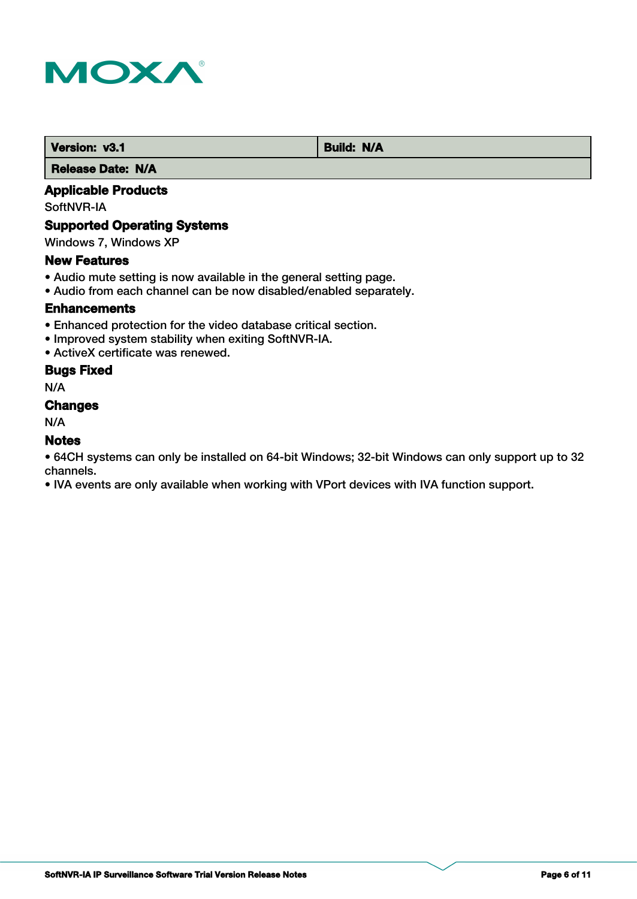

 **Version: v3.1 Build: N/A** 

 **Release Date: N/A**

# **Applicable Products**

SoftNVR-IA

# **Supported Operating Systems**

Windows 7, Windows XP

#### **New Features**

- Audio mute setting is now available in the general setting page.
- Audio from each channel can be now disabled/enabled separately.

#### **Enhancements**

- Enhanced protection for the video database critical section.
- Improved system stability when exiting SoftNVR-IA.
- ActiveX certificate was renewed.

# **Bugs Fixed**

N/A

#### **Changes**

N/A

#### **Notes**

• 64CH systems can only be installed on 64-bit Windows; 32-bit Windows can only support up to 32 channels.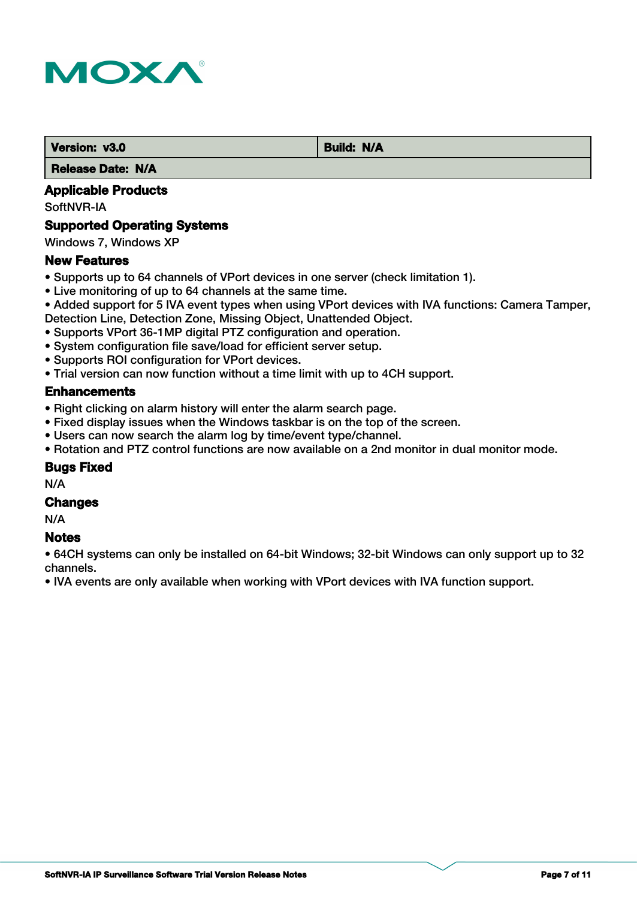

**Version: v3.0** Build: N/A

 **Release Date: N/A**

# **Applicable Products**

SoftNVR-IA

#### **Supported Operating Systems**

Windows 7, Windows XP

#### **New Features**

- Supports up to 64 channels of VPort devices in one server (check limitation 1).
- Live monitoring of up to 64 channels at the same time.
- Added support for 5 IVA event types when using VPort devices with IVA functions: Camera Tamper,
- Detection Line, Detection Zone, Missing Object, Unattended Object.
- Supports VPort 36-1MP digital PTZ configuration and operation.
- System configuration file save/load for efficient server setup.
- Supports ROI configuration for VPort devices.
- Trial version can now function without a time limit with up to 4CH support.

#### **Enhancements**

- Right clicking on alarm history will enter the alarm search page.
- Fixed display issues when the Windows taskbar is on the top of the screen.
- Users can now search the alarm log by time/event type/channel.
- Rotation and PTZ control functions are now available on a 2nd monitor in dual monitor mode.

#### **Bugs Fixed**

N/A

#### **Changes**

N/A

# **Notes**

• 64CH systems can only be installed on 64-bit Windows; 32-bit Windows can only support up to 32 channels.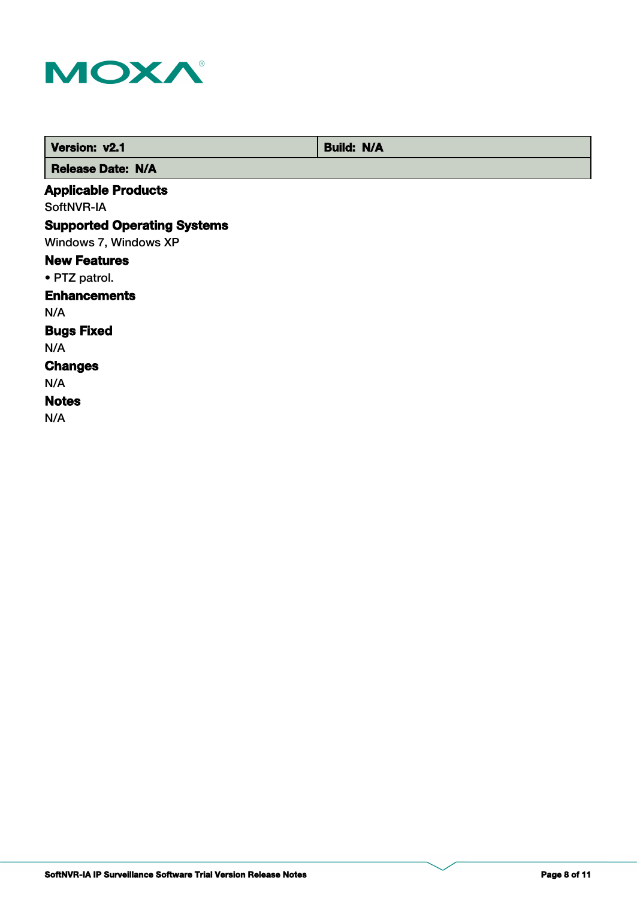

| Version: v2.1                      | <b>Build: N/A</b> |
|------------------------------------|-------------------|
| <b>Release Date: N/A</b>           |                   |
| <b>Applicable Products</b>         |                   |
| SoftNVR-IA                         |                   |
| <b>Supported Operating Systems</b> |                   |
| Windows 7, Windows XP              |                   |
| <b>New Features</b>                |                   |
| • PTZ patrol.                      |                   |
| <b>Enhancements</b>                |                   |
| N/A                                |                   |
| <b>Bugs Fixed</b>                  |                   |
| N/A                                |                   |
| <b>Changes</b>                     |                   |
| N/A                                |                   |
| <b>Notes</b>                       |                   |
| N/A                                |                   |
|                                    |                   |

**SoftNVR-IA IP Surveillance Software Trial Version Release Notes Page 8 of 11**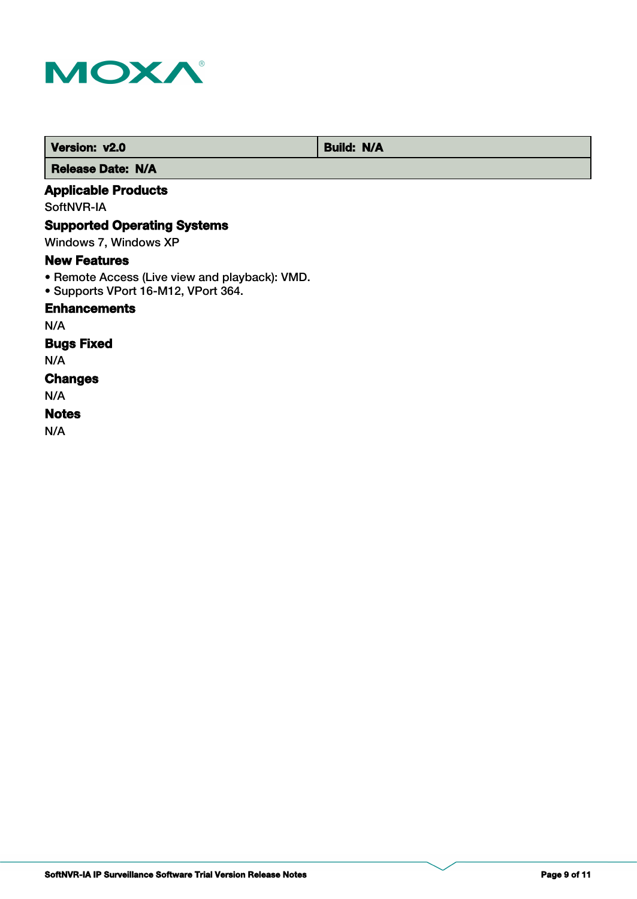

**Version: v2.0** Build: N/A

 **Release Date: N/A**

# **Applicable Products**

SoftNVR-IA

# **Supported Operating Systems**

Windows 7, Windows XP

### **New Features**

- Remote Access (Live view and playback): VMD.
- Supports VPort 16-M12, VPort 364.

#### **Enhancements**

N/A

# **Bugs Fixed**

N/A

#### **Changes**

N/A

#### **Notes**

N/A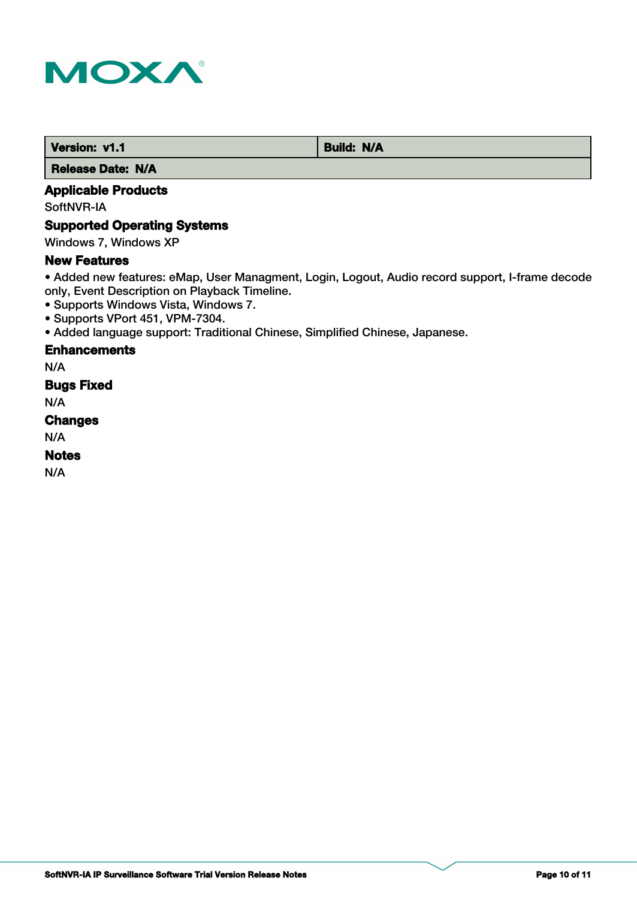

 **Version: v1.1 Build: N/A** 

 **Release Date: N/A**

# **Applicable Products**

SoftNVR-IA

# **Supported Operating Systems**

Windows 7, Windows XP

#### **New Features**

• Added new features: eMap, User Managment, Login, Logout, Audio record support, I-frame decode only, Event Description on Playback Timeline.

- Supports Windows Vista, Windows 7.
- Supports VPort 451, VPM-7304.
- Added language support: Traditional Chinese, Simplified Chinese, Japanese.

### **Enhancements**

N/A

# **Bugs Fixed**

N/A

# **Changes**

N/A

# **Notes**

N/A